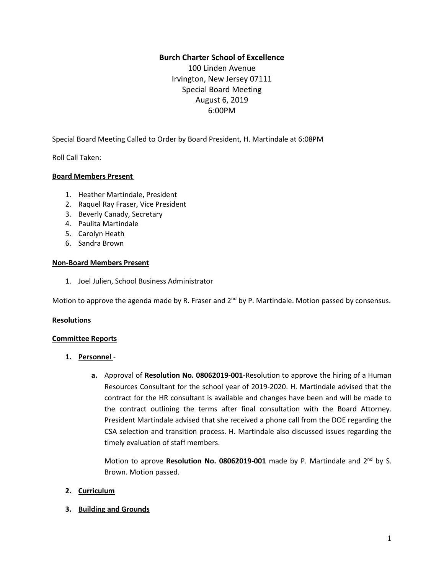# **Burch Charter School of Excellence**

100 Linden Avenue Irvington, New Jersey 07111 Special Board Meeting August 6, 2019 6:00PM

Special Board Meeting Called to Order by Board President, H. Martindale at 6:08PM

Roll Call Taken:

### **Board Members Present**

- 1. Heather Martindale, President
- 2. Raquel Ray Fraser, Vice President
- 3. Beverly Canady, Secretary
- 4. Paulita Martindale
- 5. Carolyn Heath
- 6. Sandra Brown

### **Non-Board Members Present**

1. Joel Julien, School Business Administrator

Motion to approve the agenda made by R. Fraser and  $2^{nd}$  by P. Martindale. Motion passed by consensus.

#### **Resolutions**

#### **Committee Reports**

- **1. Personnel**
	- **a.** Approval of **Resolution No. 08062019-001**-Resolution to approve the hiring of a Human Resources Consultant for the school year of 2019-2020. H. Martindale advised that the contract for the HR consultant is available and changes have been and will be made to the contract outlining the terms after final consultation with the Board Attorney. President Martindale advised that she received a phone call from the DOE regarding the CSA selection and transition process. H. Martindale also discussed issues regarding the timely evaluation of staff members.

Motion to aprove Resolution No. 08062019-001 made by P. Martindale and 2<sup>nd</sup> by S. Brown. Motion passed.

### **2. Curriculum**

**3. Building and Grounds**